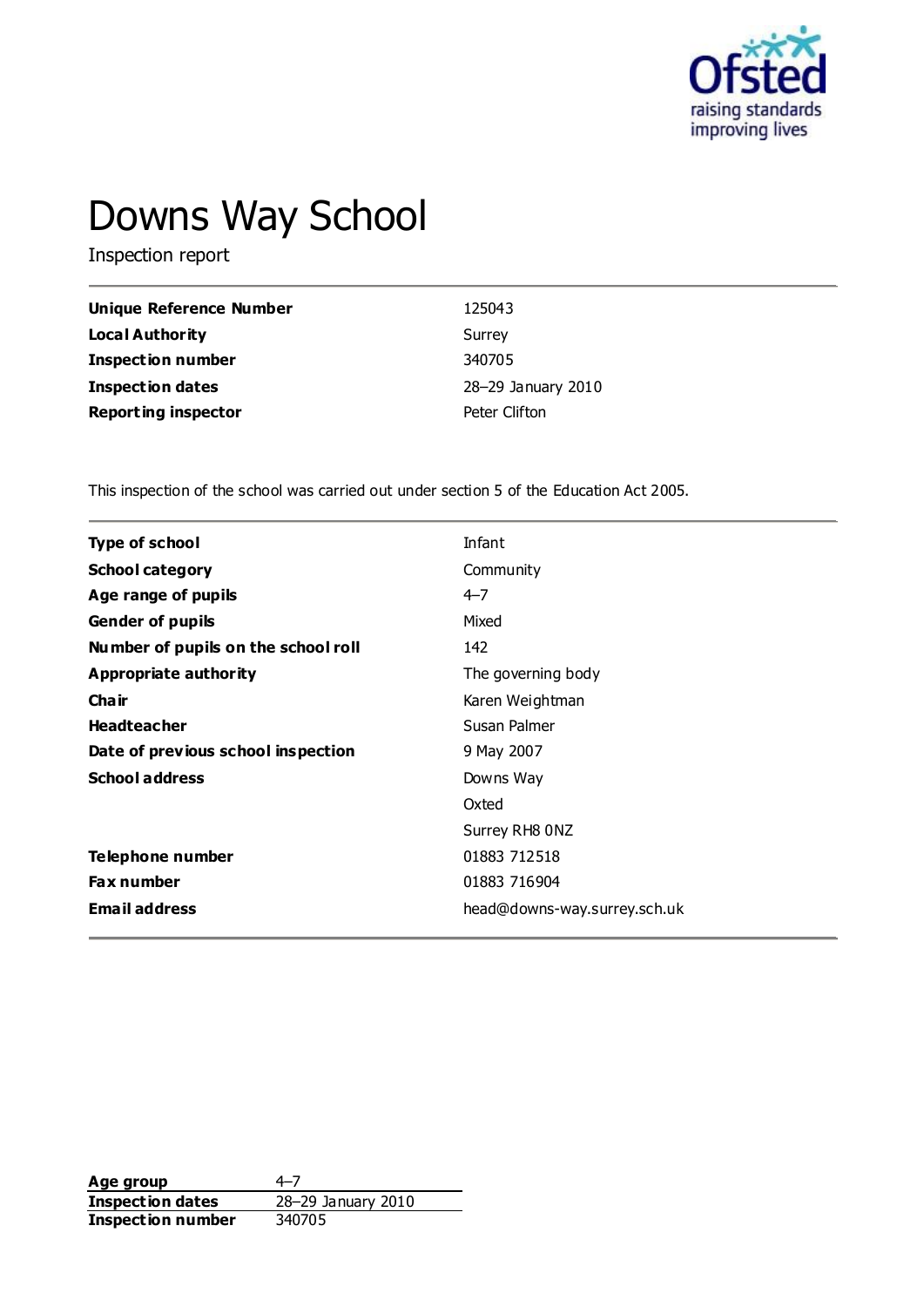

# Downs Way School

Inspection report

| <b>Unique Reference Number</b> | 125043             |
|--------------------------------|--------------------|
| Local Authority                | Surrey             |
| <b>Inspection number</b>       | 340705             |
| Inspection dates               | 28-29 January 2010 |
| <b>Reporting inspector</b>     | Peter Clifton      |

This inspection of the school was carried out under section 5 of the Education Act 2005.

| <b>Type of school</b>               | Infant                       |
|-------------------------------------|------------------------------|
| <b>School category</b>              | Community                    |
| Age range of pupils                 | $4 - 7$                      |
| <b>Gender of pupils</b>             | Mixed                        |
| Number of pupils on the school roll | 142                          |
| Appropriate authority               | The governing body           |
| Cha ir                              | Karen Weightman              |
| <b>Headteacher</b>                  | Susan Palmer                 |
| Date of previous school inspection  | 9 May 2007                   |
| <b>School address</b>               | Downs Way                    |
|                                     | Oxted                        |
|                                     | Surrey RH8 0NZ               |
| Telephone number                    | 01883 712518                 |
| Fax number                          | 01883 716904                 |
| <b>Email address</b>                | head@downs-way.surrey.sch.uk |
|                                     |                              |

**Age group** 4–7<br> **Inspection dates** 28–29 January 2010 **Inspection dates** 28–29 J<br>**Inspection number** 340705 **Inspection number**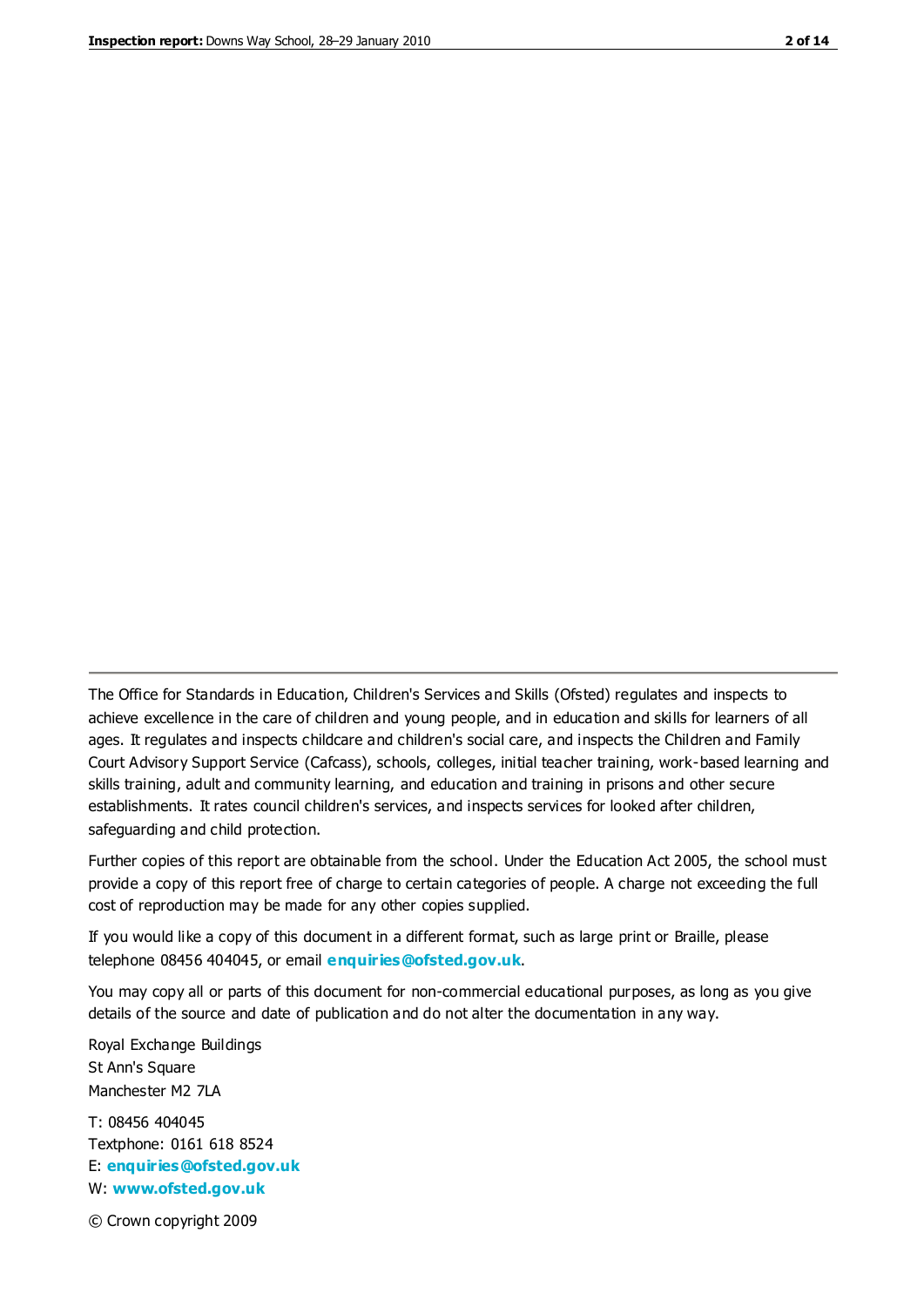The Office for Standards in Education, Children's Services and Skills (Ofsted) regulates and inspects to achieve excellence in the care of children and young people, and in education and skills for learners of all ages. It regulates and inspects childcare and children's social care, and inspects the Children and Family Court Advisory Support Service (Cafcass), schools, colleges, initial teacher training, work-based learning and skills training, adult and community learning, and education and training in prisons and other secure establishments. It rates council children's services, and inspects services for looked after children, safeguarding and child protection.

Further copies of this report are obtainable from the school. Under the Education Act 2005, the school must provide a copy of this report free of charge to certain categories of people. A charge not exceeding the full cost of reproduction may be made for any other copies supplied.

If you would like a copy of this document in a different format, such as large print or Braille, please telephone 08456 404045, or email **[enquiries@ofsted.gov.uk](mailto:enquiries@ofsted.gov.uk)**.

You may copy all or parts of this document for non-commercial educational purposes, as long as you give details of the source and date of publication and do not alter the documentation in any way.

Royal Exchange Buildings St Ann's Square Manchester M2 7LA

T: 08456 404045 Textphone: 0161 618 8524 E: **[enquiries@ofsted.gov.uk](mailto:enquiries@ofsted.gov.uk)** W: **[www.ofsted.gov.uk](http://www.ofsted.gov.uk/)**

© Crown copyright 2009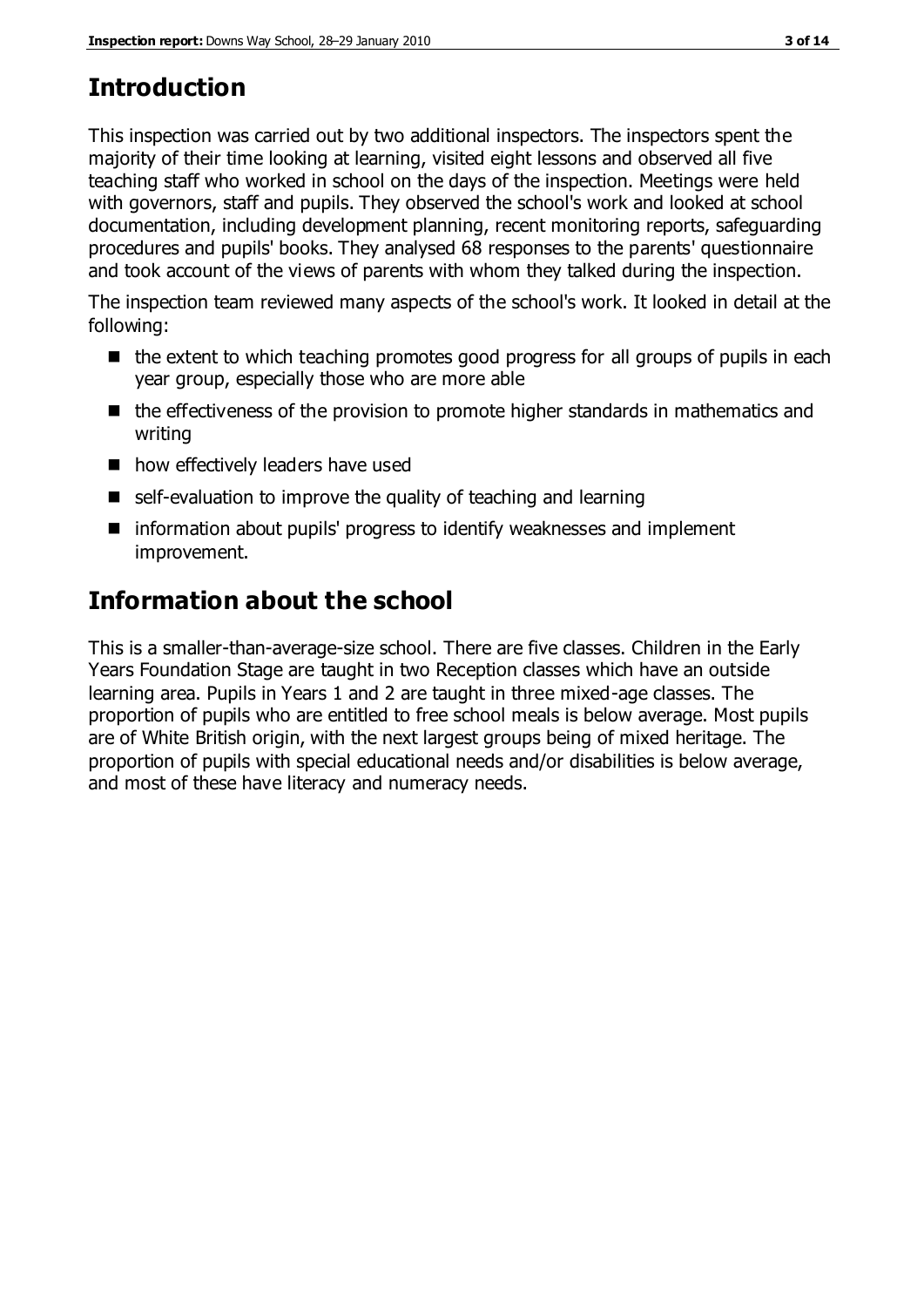## **Introduction**

This inspection was carried out by two additional inspectors. The inspectors spent the majority of their time looking at learning, visited eight lessons and observed all five teaching staff who worked in school on the days of the inspection. Meetings were held with governors, staff and pupils. They observed the school's work and looked at school documentation, including development planning, recent monitoring reports, safeguarding procedures and pupils' books. They analysed 68 responses to the parents' questionnaire and took account of the views of parents with whom they talked during the inspection.

The inspection team reviewed many aspects of the school's work. It looked in detail at the following:

- $\blacksquare$  the extent to which teaching promotes good progress for all groups of pupils in each year group, especially those who are more able
- $\blacksquare$  the effectiveness of the provision to promote higher standards in mathematics and writing
- how effectively leaders have used
- self-evaluation to improve the quality of teaching and learning
- information about pupils' progress to identify weaknesses and implement improvement.

## **Information about the school**

This is a smaller-than-average-size school. There are five classes. Children in the Early Years Foundation Stage are taught in two Reception classes which have an outside learning area. Pupils in Years 1 and 2 are taught in three mixed-age classes. The proportion of pupils who are entitled to free school meals is below average. Most pupils are of White British origin, with the next largest groups being of mixed heritage. The proportion of pupils with special educational needs and/or disabilities is below average, and most of these have literacy and numeracy needs.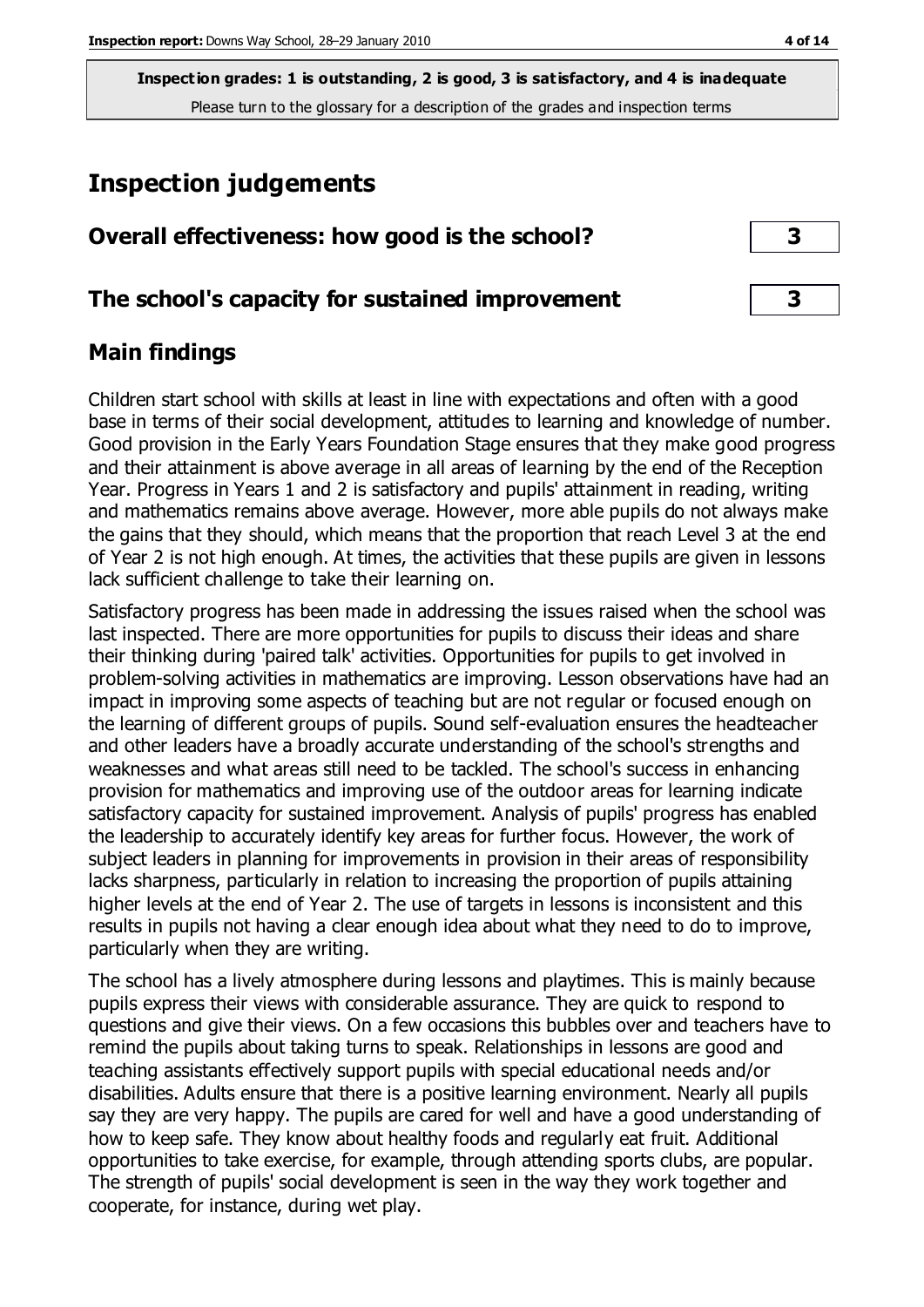**Inspection grades: 1 is outstanding, 2 is good, 3 is satisfactory, and 4 is inadequate** Please turn to the glossary for a description of the grades and inspection terms

## **Inspection judgements**

| Overall effectiveness: how good is the school? |  |
|------------------------------------------------|--|
|------------------------------------------------|--|

#### **The school's capacity for sustained improvement 3**

#### **Main findings**

Children start school with skills at least in line with expectations and often with a good base in terms of their social development, attitudes to learning and knowledge of number. Good provision in the Early Years Foundation Stage ensures that they make good progress and their attainment is above average in all areas of learning by the end of the Reception Year. Progress in Years 1 and 2 is satisfactory and pupils' attainment in reading, writing and mathematics remains above average. However, more able pupils do not always make the gains that they should, which means that the proportion that reach Level 3 at the end of Year 2 is not high enough. At times, the activities that these pupils are given in lessons lack sufficient challenge to take their learning on.

Satisfactory progress has been made in addressing the issues raised when the school was last inspected. There are more opportunities for pupils to discuss their ideas and share their thinking during 'paired talk' activities. Opportunities for pupils to get involved in problem-solving activities in mathematics are improving. Lesson observations have had an impact in improving some aspects of teaching but are not regular or focused enough on the learning of different groups of pupils. Sound self-evaluation ensures the headteacher and other leaders have a broadly accurate understanding of the school's strengths and weaknesses and what areas still need to be tackled. The school's success in enhancing provision for mathematics and improving use of the outdoor areas for learning indicate satisfactory capacity for sustained improvement. Analysis of pupils' progress has enabled the leadership to accurately identify key areas for further focus. However, the work of subject leaders in planning for improvements in provision in their areas of responsibility lacks sharpness, particularly in relation to increasing the proportion of pupils attaining higher levels at the end of Year 2. The use of targets in lessons is inconsistent and this results in pupils not having a clear enough idea about what they need to do to improve, particularly when they are writing.

The school has a lively atmosphere during lessons and playtimes. This is mainly because pupils express their views with considerable assurance. They are quick to respond to questions and give their views. On a few occasions this bubbles over and teachers have to remind the pupils about taking turns to speak. Relationships in lessons are good and teaching assistants effectively support pupils with special educational needs and/or disabilities. Adults ensure that there is a positive learning environment. Nearly all pupils say they are very happy. The pupils are cared for well and have a good understanding of how to keep safe. They know about healthy foods and regularly eat fruit. Additional opportunities to take exercise, for example, through attending sports clubs, are popular. The strength of pupils' social development is seen in the way they work together and cooperate, for instance, during wet play.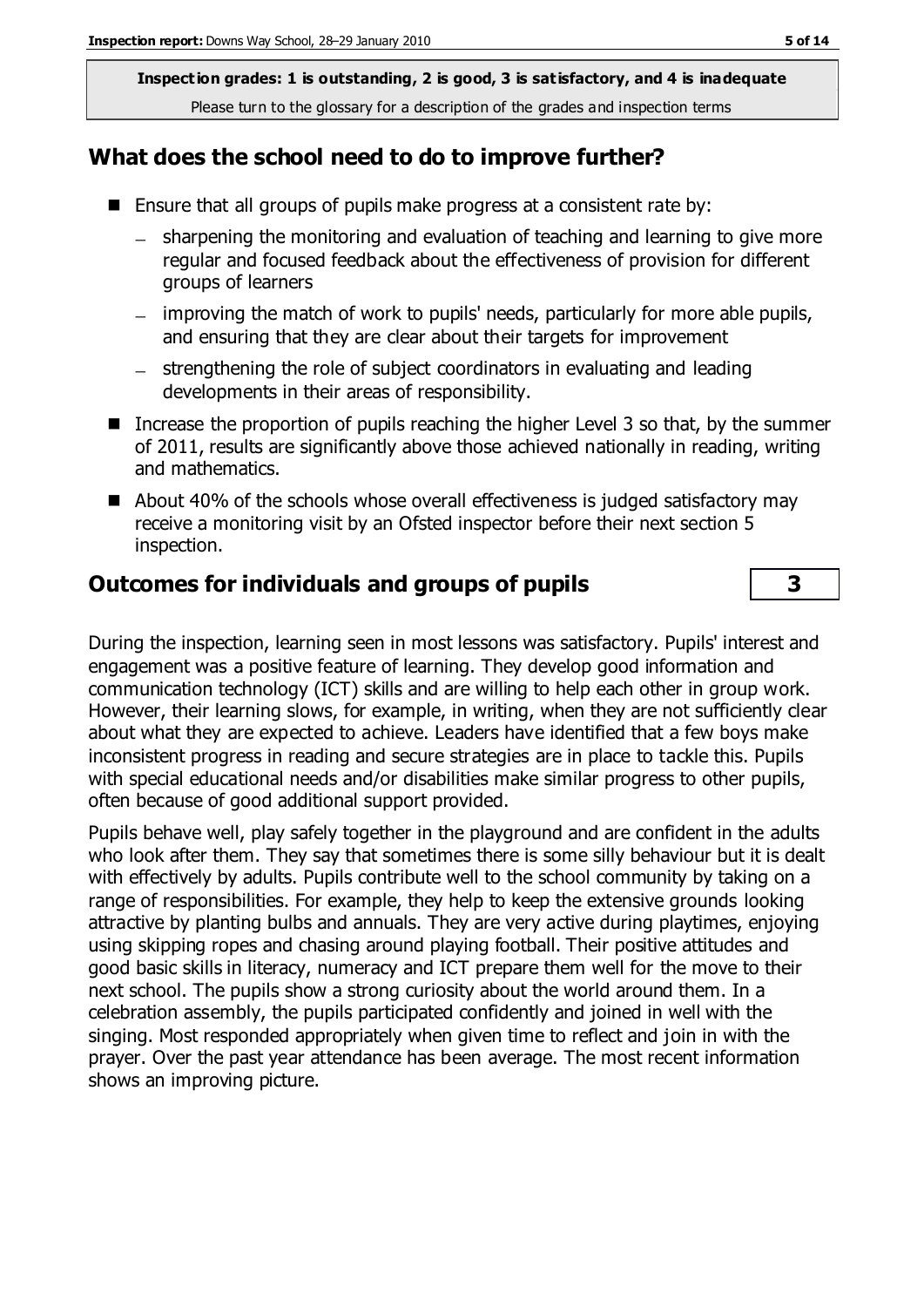**Inspection grades: 1 is outstanding, 2 is good, 3 is satisfactory, and 4 is inadequate** Please turn to the glossary for a description of the grades and inspection terms

#### **What does the school need to do to improve further?**

- **E** Ensure that all groups of pupils make progress at a consistent rate by:
	- sharpening the monitoring and evaluation of teaching and learning to give more regular and focused feedback about the effectiveness of provision for different groups of learners
	- improving the match of work to pupils' needs, particularly for more able pupils, and ensuring that they are clear about their targets for improvement
	- strengthening the role of subject coordinators in evaluating and leading developments in their areas of responsibility.
- Increase the proportion of pupils reaching the higher Level 3 so that, by the summer of 2011, results are significantly above those achieved nationally in reading, writing and mathematics.
- About 40% of the schools whose overall effectiveness is judged satisfactory may receive a monitoring visit by an Ofsted inspector before their next section 5 inspection.

#### **Outcomes for individuals and groups of pupils 3**

During the inspection, learning seen in most lessons was satisfactory. Pupils' interest and engagement was a positive feature of learning. They develop good information and communication technology (ICT) skills and are willing to help each other in group work. However, their learning slows, for example, in writing, when they are not sufficiently clear about what they are expected to achieve. Leaders have identified that a few boys make inconsistent progress in reading and secure strategies are in place to tackle this. Pupils with special educational needs and/or disabilities make similar progress to other pupils, often because of good additional support provided.

Pupils behave well, play safely together in the playground and are confident in the adults who look after them. They say that sometimes there is some silly behaviour but it is dealt with effectively by adults. Pupils contribute well to the school community by taking on a range of responsibilities. For example, they help to keep the extensive grounds looking attractive by planting bulbs and annuals. They are very active during playtimes, enjoying using skipping ropes and chasing around playing football. Their positive attitudes and good basic skills in literacy, numeracy and ICT prepare them well for the move to their next school. The pupils show a strong curiosity about the world around them. In a celebration assembly, the pupils participated confidently and joined in well with the singing. Most responded appropriately when given time to reflect and join in with the prayer. Over the past year attendance has been average. The most recent information shows an improving picture.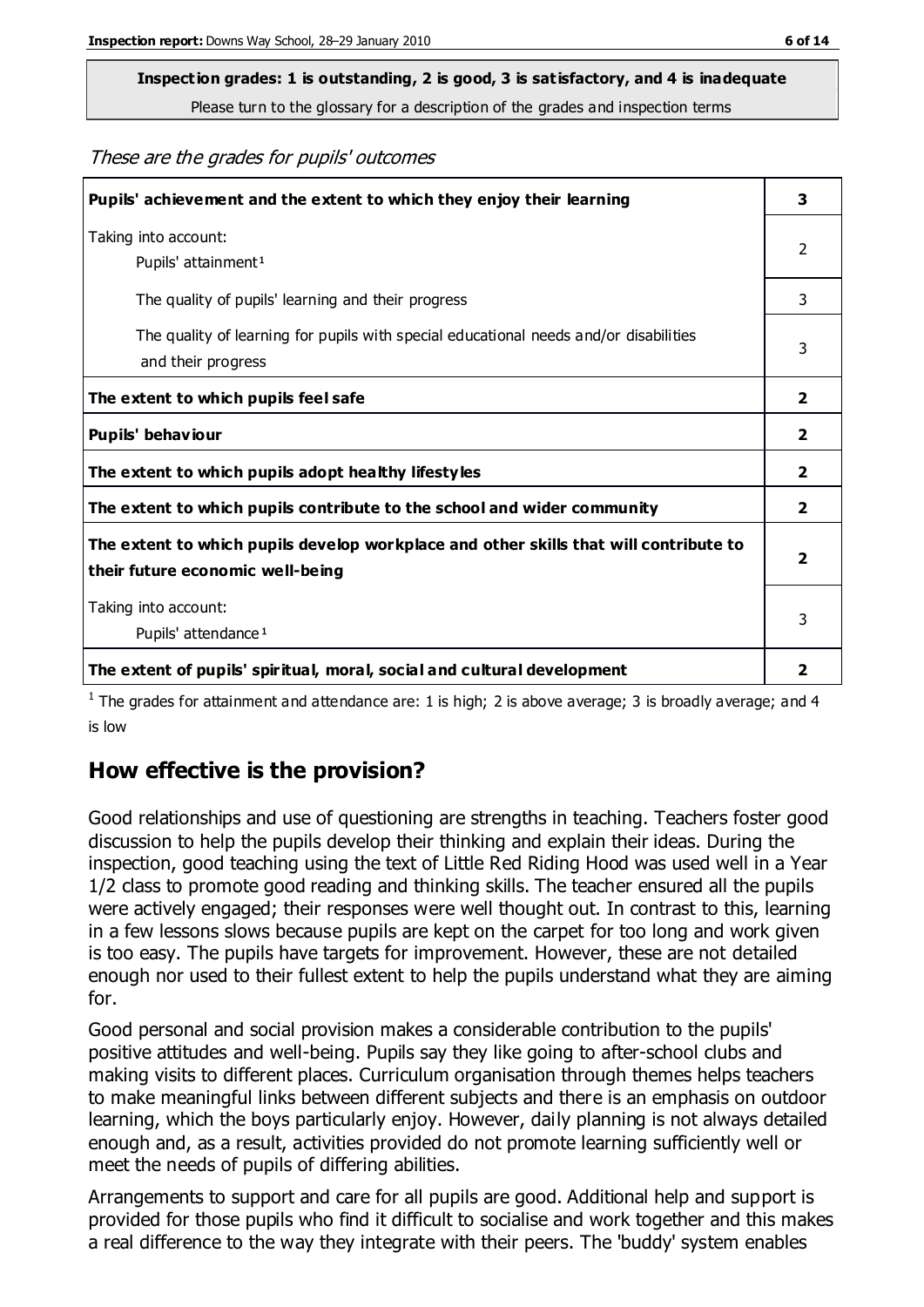## **Inspection grades: 1 is outstanding, 2 is good, 3 is satisfactory, and 4 is inadequate**

Please turn to the glossary for a description of the grades and inspection terms

These are the grades for pupils' outcomes

| Pupils' achievement and the extent to which they enjoy their learning                                                     |                |
|---------------------------------------------------------------------------------------------------------------------------|----------------|
| Taking into account:<br>Pupils' attainment <sup>1</sup>                                                                   | 2              |
| The quality of pupils' learning and their progress                                                                        | 3              |
| The quality of learning for pupils with special educational needs and/or disabilities<br>and their progress               |                |
| The extent to which pupils feel safe                                                                                      | $\mathbf{2}$   |
| Pupils' behaviour                                                                                                         |                |
| The extent to which pupils adopt healthy lifestyles                                                                       | 2              |
| The extent to which pupils contribute to the school and wider community                                                   | $\overline{2}$ |
| The extent to which pupils develop workplace and other skills that will contribute to<br>their future economic well-being |                |
| Taking into account:<br>Pupils' attendance <sup>1</sup>                                                                   |                |
| The extent of pupils' spiritual, moral, social and cultural development                                                   | 2              |

<sup>1</sup> The grades for attainment and attendance are: 1 is high; 2 is above average; 3 is broadly average; and 4 is low

#### **How effective is the provision?**

Good relationships and use of questioning are strengths in teaching. Teachers foster good discussion to help the pupils develop their thinking and explain their ideas. During the inspection, good teaching using the text of Little Red Riding Hood was used well in a Year 1/2 class to promote good reading and thinking skills. The teacher ensured all the pupils were actively engaged; their responses were well thought out. In contrast to this, learning in a few lessons slows because pupils are kept on the carpet for too long and work given is too easy. The pupils have targets for improvement. However, these are not detailed enough nor used to their fullest extent to help the pupils understand what they are aiming for.

Good personal and social provision makes a considerable contribution to the pupils' positive attitudes and well-being. Pupils say they like going to after-school clubs and making visits to different places. Curriculum organisation through themes helps teachers to make meaningful links between different subjects and there is an emphasis on outdoor learning, which the boys particularly enjoy. However, daily planning is not always detailed enough and, as a result, activities provided do not promote learning sufficiently well or meet the needs of pupils of differing abilities.

Arrangements to support and care for all pupils are good. Additional help and support is provided for those pupils who find it difficult to socialise and work together and this makes a real difference to the way they integrate with their peers. The 'buddy' system enables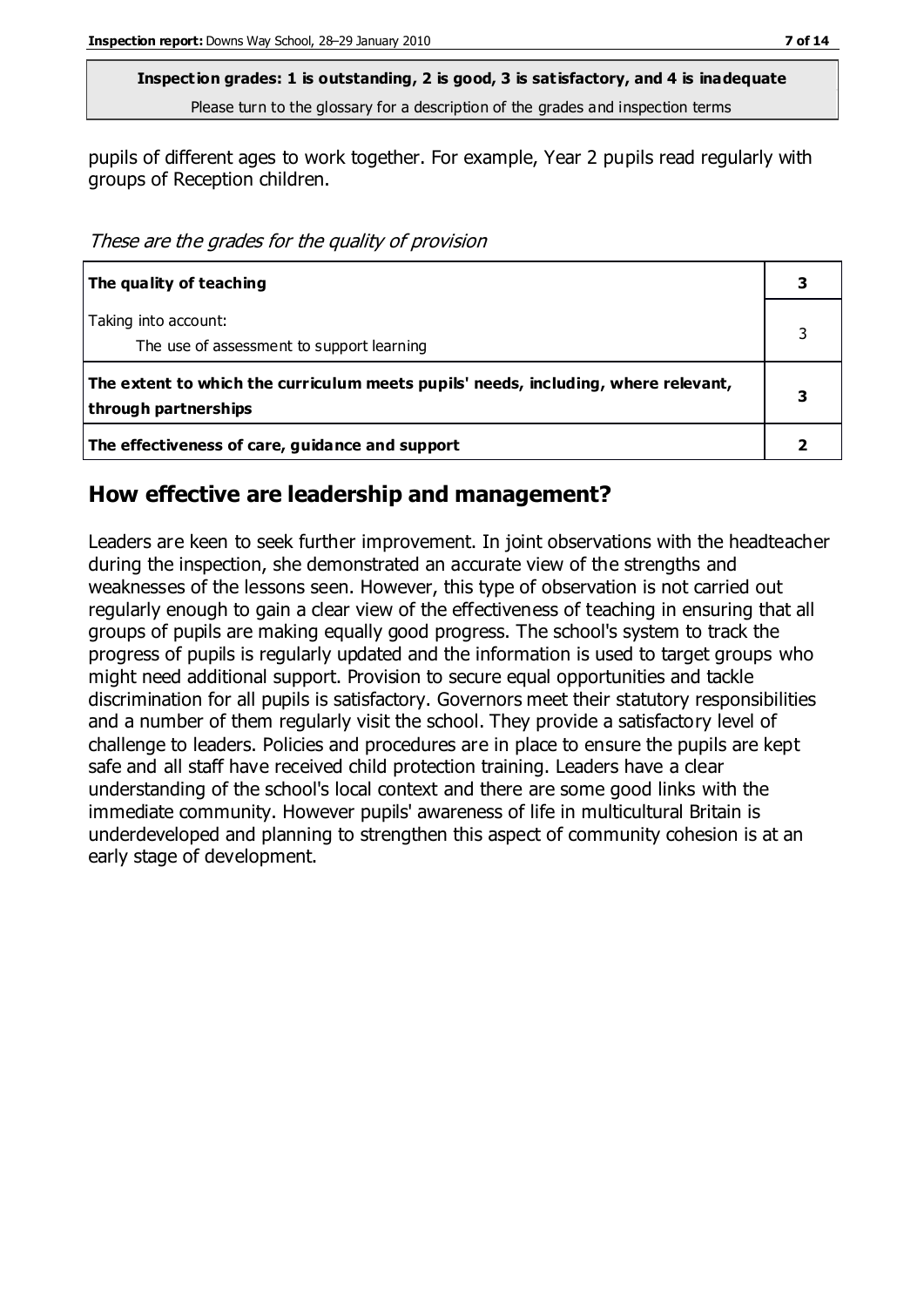**Inspection grades: 1 is outstanding, 2 is good, 3 is satisfactory, and 4 is inadequate** Please turn to the glossary for a description of the grades and inspection terms

pupils of different ages to work together. For example, Year 2 pupils read regularly with groups of Reception children.

These are the grades for the quality of provision

| The quality of teaching                                                                                    |  |
|------------------------------------------------------------------------------------------------------------|--|
| Taking into account:<br>The use of assessment to support learning                                          |  |
| The extent to which the curriculum meets pupils' needs, including, where relevant,<br>through partnerships |  |
| The effectiveness of care, guidance and support                                                            |  |

#### **How effective are leadership and management?**

Leaders are keen to seek further improvement. In joint observations with the headteacher during the inspection, she demonstrated an accurate view of the strengths and weaknesses of the lessons seen. However, this type of observation is not carried out regularly enough to gain a clear view of the effectiveness of teaching in ensuring that all groups of pupils are making equally good progress. The school's system to track the progress of pupils is regularly updated and the information is used to target groups who might need additional support. Provision to secure equal opportunities and tackle discrimination for all pupils is satisfactory. Governors meet their statutory responsibilities and a number of them regularly visit the school. They provide a satisfactory level of challenge to leaders. Policies and procedures are in place to ensure the pupils are kept safe and all staff have received child protection training. Leaders have a clear understanding of the school's local context and there are some good links with the immediate community. However pupils' awareness of life in multicultural Britain is underdeveloped and planning to strengthen this aspect of community cohesion is at an early stage of development.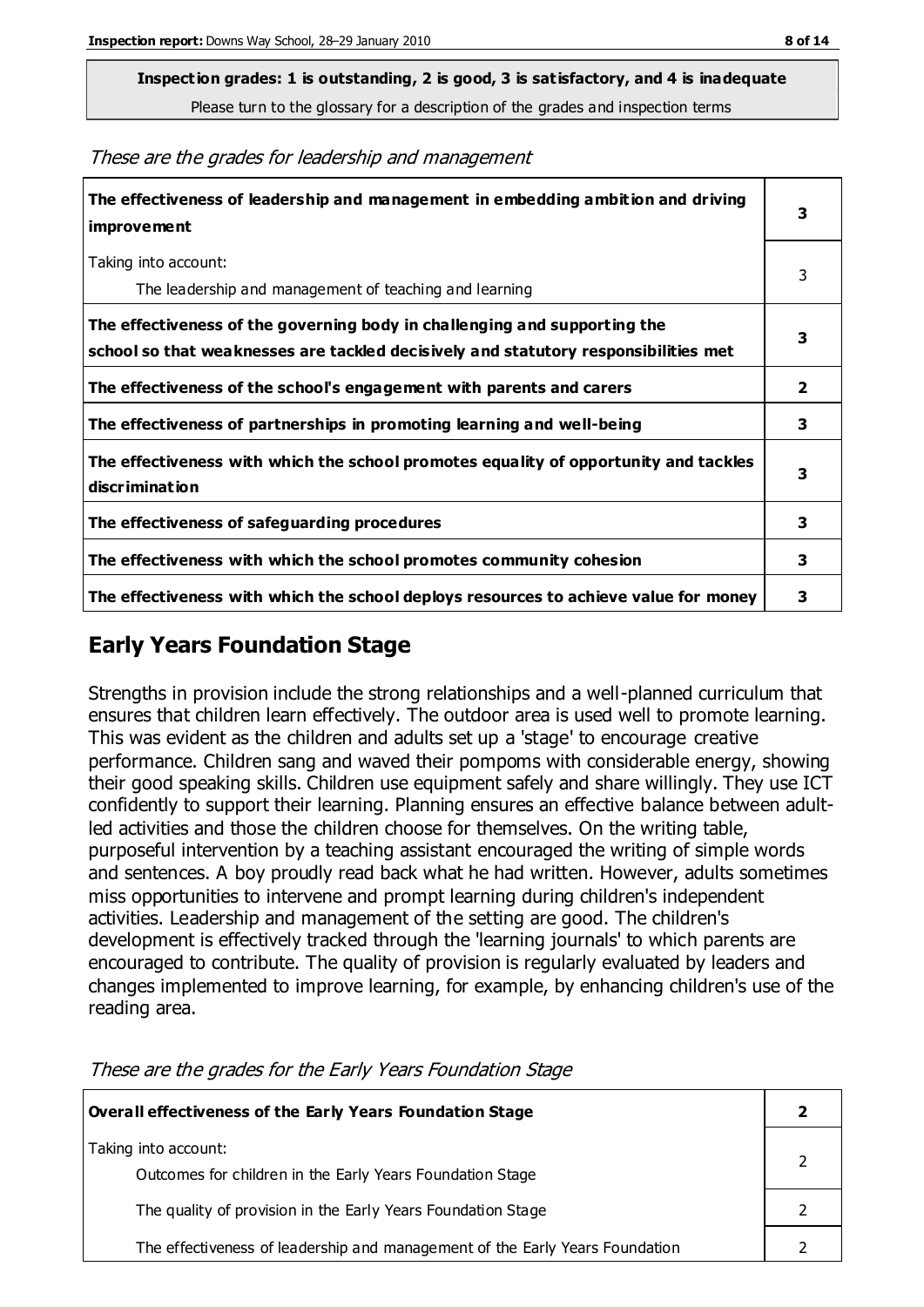**Inspection grades: 1 is outstanding, 2 is good, 3 is satisfactory, and 4 is inadequate**

Please turn to the glossary for a description of the grades and inspection terms

These are the grades for leadership and management

| The effectiveness of leadership and management in embedding ambition and driving<br>improvement                                                                  |   |
|------------------------------------------------------------------------------------------------------------------------------------------------------------------|---|
| Taking into account:<br>The leadership and management of teaching and learning                                                                                   | 3 |
| The effectiveness of the governing body in challenging and supporting the<br>school so that weaknesses are tackled decisively and statutory responsibilities met | 3 |
| The effectiveness of the school's engagement with parents and carers                                                                                             | 2 |
| The effectiveness of partnerships in promoting learning and well-being                                                                                           | 3 |
| The effectiveness with which the school promotes equality of opportunity and tackles<br>discrimination                                                           | 3 |
| The effectiveness of safeguarding procedures                                                                                                                     | 3 |
| The effectiveness with which the school promotes community cohesion                                                                                              |   |
| The effectiveness with which the school deploys resources to achieve value for money                                                                             |   |

#### **Early Years Foundation Stage**

Strengths in provision include the strong relationships and a well-planned curriculum that ensures that children learn effectively. The outdoor area is used well to promote learning. This was evident as the children and adults set up a 'stage' to encourage creative performance. Children sang and waved their pompoms with considerable energy, showing their good speaking skills. Children use equipment safely and share willingly. They use ICT confidently to support their learning. Planning ensures an effective balance between adultled activities and those the children choose for themselves. On the writing table, purposeful intervention by a teaching assistant encouraged the writing of simple words and sentences. A boy proudly read back what he had written. However, adults sometimes miss opportunities to intervene and prompt learning during children's independent activities. Leadership and management of the setting are good. The children's development is effectively tracked through the 'learning journals' to which parents are encouraged to contribute. The quality of provision is regularly evaluated by leaders and changes implemented to improve learning, for example, by enhancing children's use of the reading area.

| Overall effectiveness of the Early Years Foundation Stage                         |  |
|-----------------------------------------------------------------------------------|--|
| Taking into account:<br>Outcomes for children in the Early Years Foundation Stage |  |
| The quality of provision in the Early Years Foundation Stage                      |  |
| The effectiveness of leadership and management of the Early Years Foundation      |  |

These are the grades for the Early Years Foundation Stage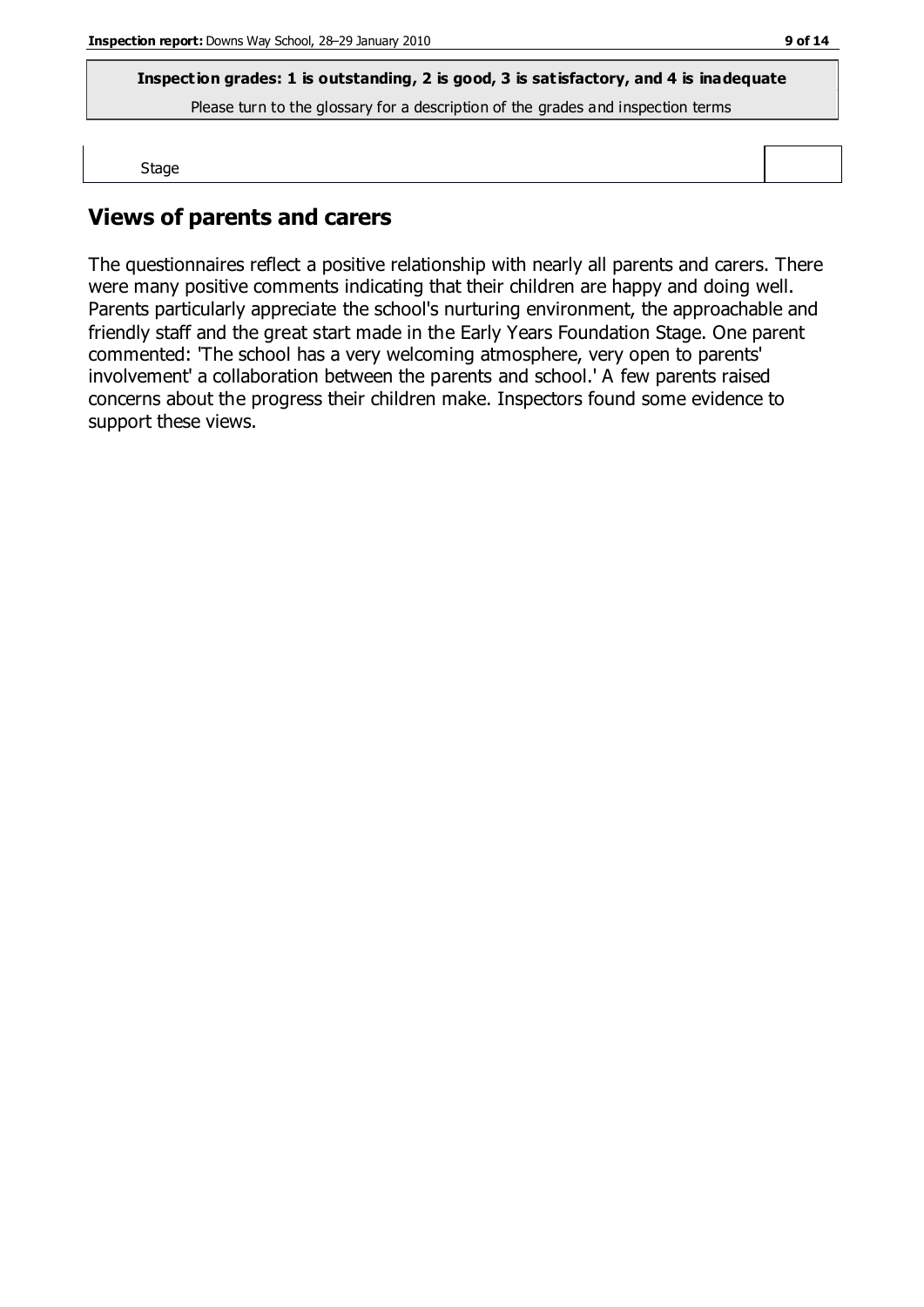**Inspection grades: 1 is outstanding, 2 is good, 3 is satisfactory, and 4 is inadequate**

Please turn to the glossary for a description of the grades and inspection terms

Stage

### **Views of parents and carers**

The questionnaires reflect a positive relationship with nearly all parents and carers. There were many positive comments indicating that their children are happy and doing well. Parents particularly appreciate the school's nurturing environment, the approachable and friendly staff and the great start made in the Early Years Foundation Stage. One parent commented: 'The school has a very welcoming atmosphere, very open to parents' involvement' a collaboration between the parents and school.' A few parents raised concerns about the progress their children make. Inspectors found some evidence to support these views.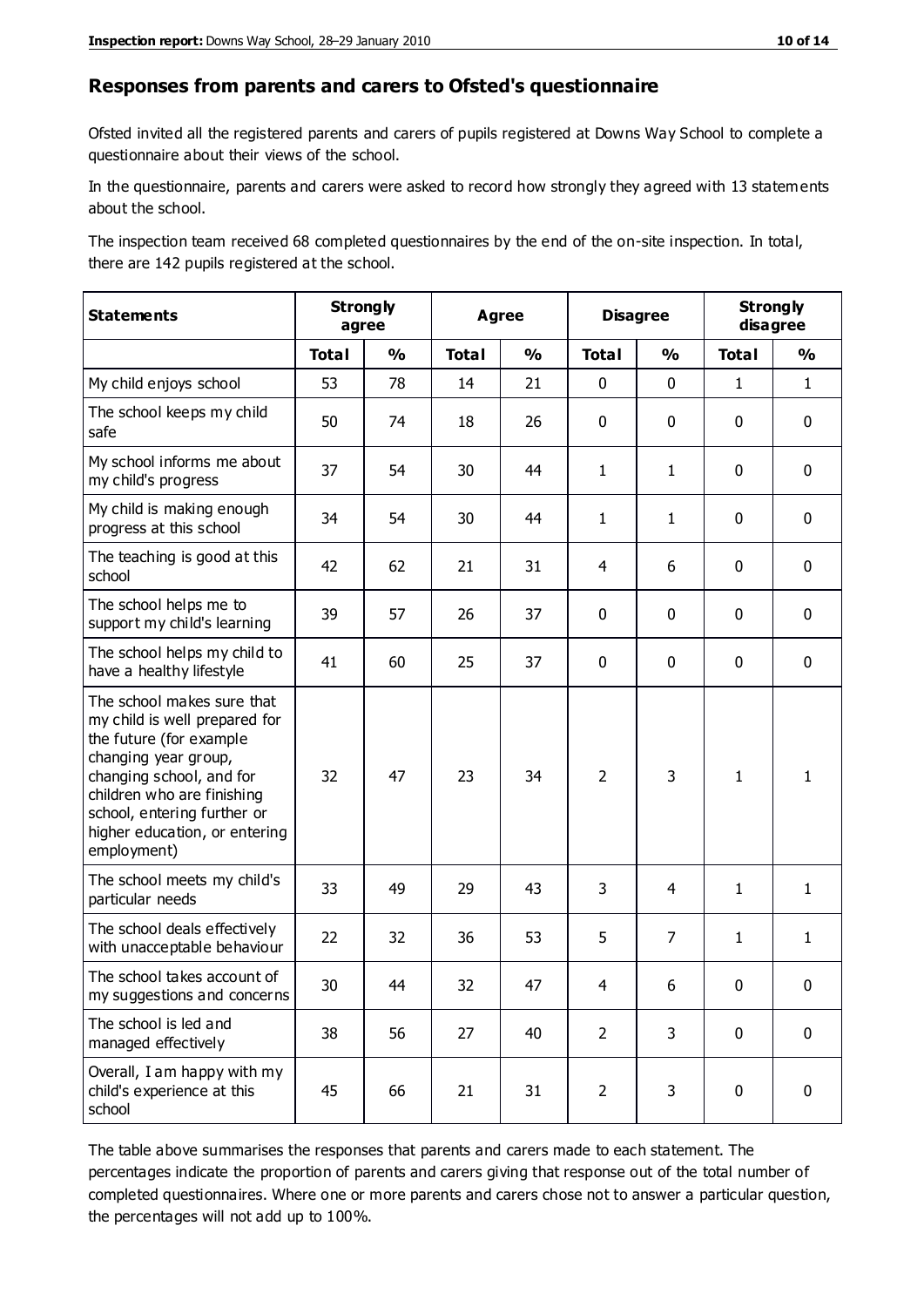#### **Responses from parents and carers to Ofsted's questionnaire**

Ofsted invited all the registered parents and carers of pupils registered at Downs Way School to complete a questionnaire about their views of the school.

In the questionnaire, parents and carers were asked to record how strongly they agreed with 13 statements about the school.

The inspection team received 68 completed questionnaires by the end of the on-site inspection. In total, there are 142 pupils registered at the school.

| <b>Statements</b>                                                                                                                                                                                                                                       | <b>Strongly</b><br>agree |               | <b>Agree</b> |               | <b>Disagree</b> | <b>Strongly</b><br>disagree |              |               |
|---------------------------------------------------------------------------------------------------------------------------------------------------------------------------------------------------------------------------------------------------------|--------------------------|---------------|--------------|---------------|-----------------|-----------------------------|--------------|---------------|
|                                                                                                                                                                                                                                                         | <b>Total</b>             | $\frac{0}{0}$ | <b>Total</b> | $\frac{1}{2}$ | <b>Total</b>    | $\frac{1}{2}$               | <b>Total</b> | $\frac{1}{2}$ |
| My child enjoys school                                                                                                                                                                                                                                  | 53                       | 78            | 14           | 21            | 0               | 0                           | $\mathbf{1}$ | $\mathbf{1}$  |
| The school keeps my child<br>safe                                                                                                                                                                                                                       | 50                       | 74            | 18           | 26            | 0               | 0                           | $\mathbf 0$  | $\mathbf 0$   |
| My school informs me about<br>my child's progress                                                                                                                                                                                                       | 37                       | 54            | 30           | 44            | 1               | $\mathbf{1}$                | $\mathbf 0$  | $\mathbf 0$   |
| My child is making enough<br>progress at this school                                                                                                                                                                                                    | 34                       | 54            | 30           | 44            | $\mathbf{1}$    | 1                           | $\mathbf 0$  | $\mathbf 0$   |
| The teaching is good at this<br>school                                                                                                                                                                                                                  | 42                       | 62            | 21           | 31            | 4               | 6                           | 0            | $\mathbf 0$   |
| The school helps me to<br>support my child's learning                                                                                                                                                                                                   | 39                       | 57            | 26           | 37            | 0               | $\mathbf{0}$                | 0            | $\mathbf 0$   |
| The school helps my child to<br>have a healthy lifestyle                                                                                                                                                                                                | 41                       | 60            | 25           | 37            | 0               | 0                           | 0            | $\pmb{0}$     |
| The school makes sure that<br>my child is well prepared for<br>the future (for example<br>changing year group,<br>changing school, and for<br>children who are finishing<br>school, entering further or<br>higher education, or entering<br>employment) | 32                       | 47            | 23           | 34            | $\overline{2}$  | 3                           | $\mathbf{1}$ | 1             |
| The school meets my child's<br>particular needs                                                                                                                                                                                                         | 33                       | 49            | 29           | 43            | 3               | 4                           | $\mathbf{1}$ | $\mathbf{1}$  |
| The school deals effectively<br>with unacceptable behaviour                                                                                                                                                                                             | 22                       | 32            | 36           | 53            | 5               | $\overline{7}$              | $\mathbf{1}$ | $\mathbf{1}$  |
| The school takes account of<br>my suggestions and concerns                                                                                                                                                                                              | 30                       | 44            | 32           | 47            | 4               | 6                           | $\mathbf{0}$ | $\mathbf{0}$  |
| The school is led and<br>managed effectively                                                                                                                                                                                                            | 38                       | 56            | 27           | 40            | $\overline{2}$  | 3                           | $\mathbf 0$  | $\mathbf 0$   |
| Overall, I am happy with my<br>child's experience at this<br>school                                                                                                                                                                                     | 45                       | 66            | 21           | 31            | $\overline{2}$  | 3                           | $\mathbf 0$  | $\pmb{0}$     |

The table above summarises the responses that parents and carers made to each statement. The percentages indicate the proportion of parents and carers giving that response out of the total number of completed questionnaires. Where one or more parents and carers chose not to answer a particular question, the percentages will not add up to 100%.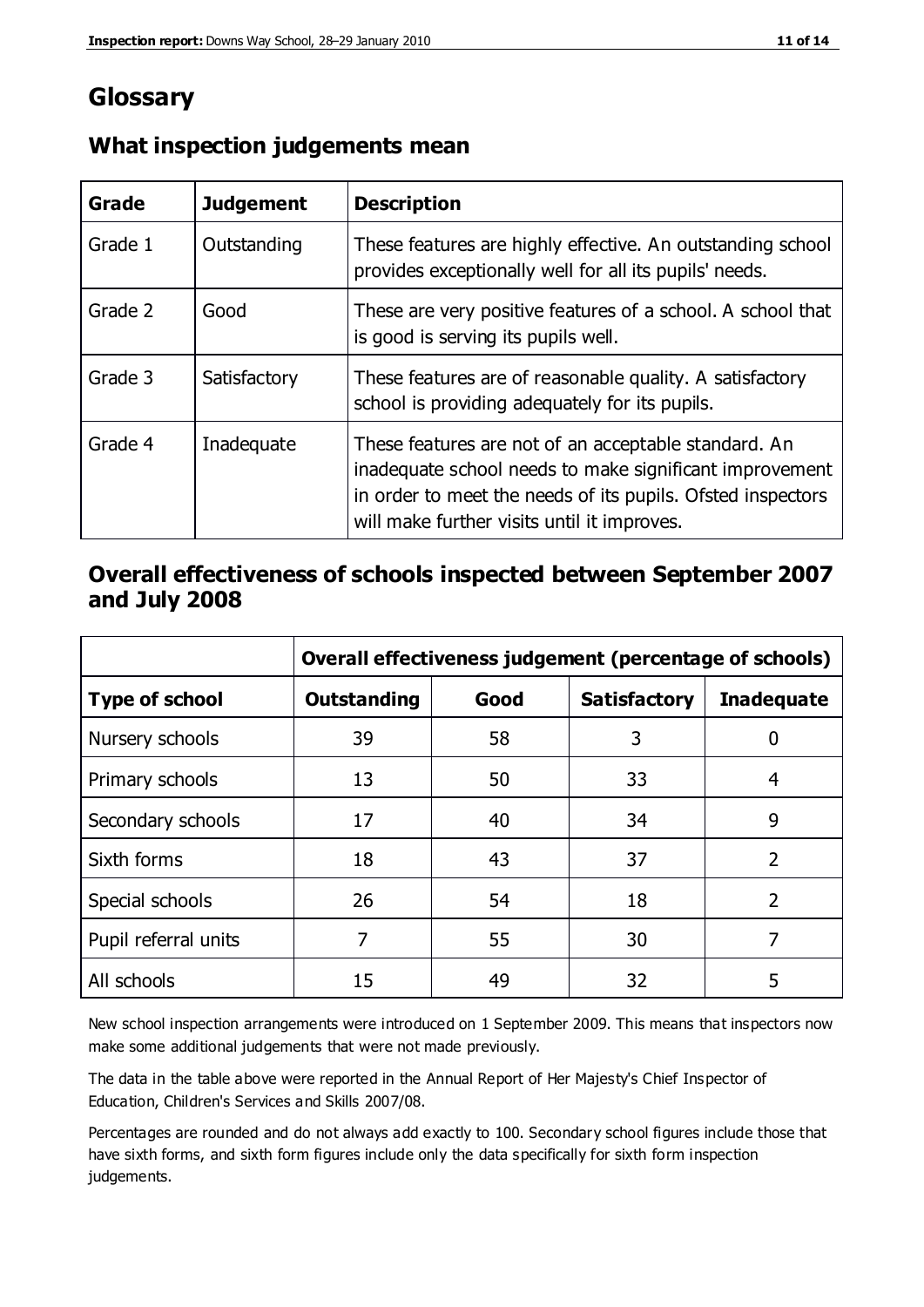## **Glossary**

| Grade   | <b>Judgement</b> | <b>Description</b>                                                                                                                                                                                                            |
|---------|------------------|-------------------------------------------------------------------------------------------------------------------------------------------------------------------------------------------------------------------------------|
| Grade 1 | Outstanding      | These features are highly effective. An outstanding school<br>provides exceptionally well for all its pupils' needs.                                                                                                          |
| Grade 2 | Good             | These are very positive features of a school. A school that<br>is good is serving its pupils well.                                                                                                                            |
| Grade 3 | Satisfactory     | These features are of reasonable quality. A satisfactory<br>school is providing adequately for its pupils.                                                                                                                    |
| Grade 4 | Inadequate       | These features are not of an acceptable standard. An<br>inadequate school needs to make significant improvement<br>in order to meet the needs of its pupils. Ofsted inspectors<br>will make further visits until it improves. |

#### **What inspection judgements mean**

#### **Overall effectiveness of schools inspected between September 2007 and July 2008**

|                       | Overall effectiveness judgement (percentage of schools) |      |                     |                   |
|-----------------------|---------------------------------------------------------|------|---------------------|-------------------|
| <b>Type of school</b> | <b>Outstanding</b>                                      | Good | <b>Satisfactory</b> | <b>Inadequate</b> |
| Nursery schools       | 39                                                      | 58   | 3                   |                   |
| Primary schools       | 13                                                      | 50   | 33                  | 4                 |
| Secondary schools     | 17                                                      | 40   | 34                  | 9                 |
| Sixth forms           | 18                                                      | 43   | 37                  | $\overline{2}$    |
| Special schools       | 26                                                      | 54   | 18                  | $\mathcal{P}$     |
| Pupil referral units  | 7                                                       | 55   | 30                  |                   |
| All schools           | 15                                                      | 49   | 32                  | 5                 |

New school inspection arrangements were introduced on 1 September 2009. This means that inspectors now make some additional judgements that were not made previously.

The data in the table above were reported in the Annual Report of Her Majesty's Chief Inspector of Education, Children's Services and Skills 2007/08.

Percentages are rounded and do not always add exactly to 100. Secondary school figures include those that have sixth forms, and sixth form figures include only the data specifically for sixth form inspection judgements.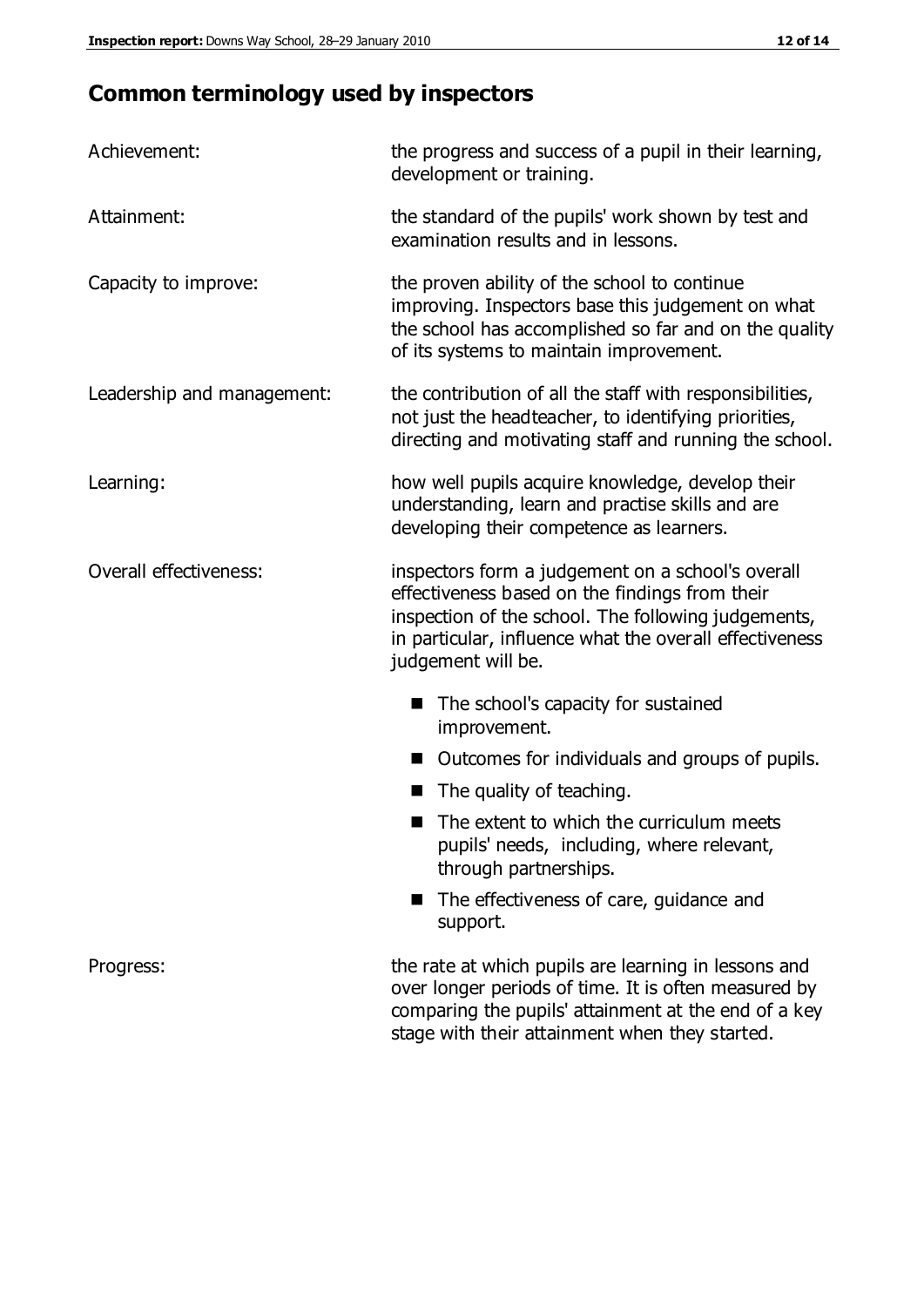## **Common terminology used by inspectors**

| Achievement:               | the progress and success of a pupil in their learning,<br>development or training.                                                                                                                                                          |
|----------------------------|---------------------------------------------------------------------------------------------------------------------------------------------------------------------------------------------------------------------------------------------|
| Attainment:                | the standard of the pupils' work shown by test and<br>examination results and in lessons.                                                                                                                                                   |
| Capacity to improve:       | the proven ability of the school to continue<br>improving. Inspectors base this judgement on what<br>the school has accomplished so far and on the quality<br>of its systems to maintain improvement.                                       |
| Leadership and management: | the contribution of all the staff with responsibilities,<br>not just the headteacher, to identifying priorities,<br>directing and motivating staff and running the school.                                                                  |
| Learning:                  | how well pupils acquire knowledge, develop their<br>understanding, learn and practise skills and are<br>developing their competence as learners.                                                                                            |
| Overall effectiveness:     | inspectors form a judgement on a school's overall<br>effectiveness based on the findings from their<br>inspection of the school. The following judgements,<br>in particular, influence what the overall effectiveness<br>judgement will be. |
|                            | The school's capacity for sustained<br>improvement.                                                                                                                                                                                         |
|                            | Outcomes for individuals and groups of pupils.                                                                                                                                                                                              |
|                            | The quality of teaching.                                                                                                                                                                                                                    |
|                            | The extent to which the curriculum meets<br>pupils' needs, including, where relevant,<br>through partnerships.                                                                                                                              |
|                            | The effectiveness of care, guidance and<br>support.                                                                                                                                                                                         |
| Progress:                  | the rate at which pupils are learning in lessons and<br>over longer periods of time. It is often measured by<br>comparing the pupils' attainment at the end of a key                                                                        |

stage with their attainment when they started.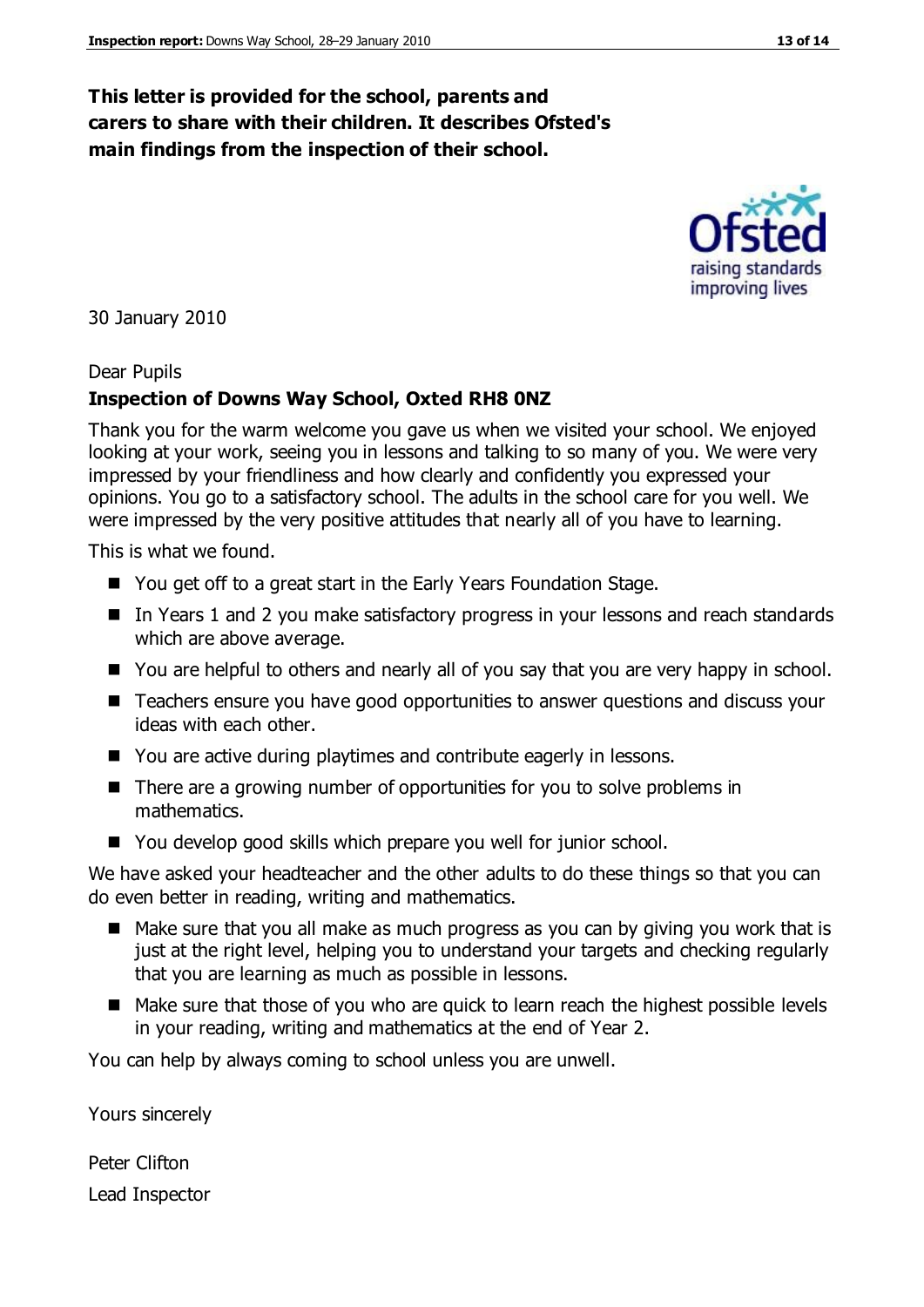#### **This letter is provided for the school, parents and carers to share with their children. It describes Ofsted's main findings from the inspection of their school.**

30 January 2010

#### Dear Pupils

#### **Inspection of Downs Way School, Oxted RH8 0NZ**

Thank you for the warm welcome you gave us when we visited your school. We enjoyed looking at your work, seeing you in lessons and talking to so many of you. We were very impressed by your friendliness and how clearly and confidently you expressed your opinions. You go to a satisfactory school. The adults in the school care for you well. We were impressed by the very positive attitudes that nearly all of you have to learning.

This is what we found.

- You get off to a great start in the Early Years Foundation Stage.
- In Years 1 and 2 you make satisfactory progress in your lessons and reach standards which are above average.
- You are helpful to others and nearly all of you say that you are very happy in school.
- Teachers ensure you have good opportunities to answer questions and discuss your ideas with each other.
- You are active during playtimes and contribute eagerly in lessons.
- There are a growing number of opportunities for you to solve problems in mathematics.
- You develop good skills which prepare you well for junior school.

We have asked your headteacher and the other adults to do these things so that you can do even better in reading, writing and mathematics.

- Make sure that you all make as much progress as you can by giving you work that is just at the right level, helping you to understand your targets and checking regularly that you are learning as much as possible in lessons.
- Make sure that those of you who are quick to learn reach the highest possible levels in your reading, writing and mathematics at the end of Year 2.

You can help by always coming to school unless you are unwell.

Yours sincerely

Peter Clifton Lead Inspector